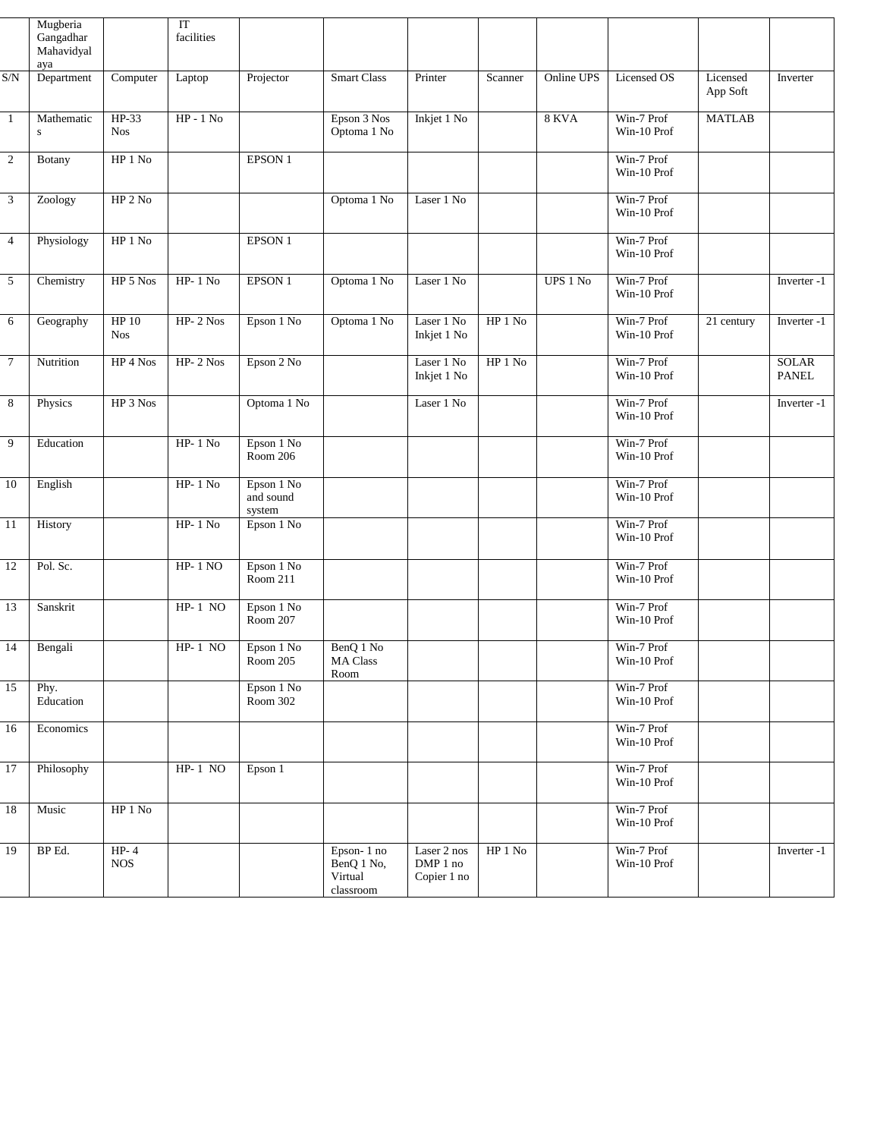|                | Mugberia<br>Gangadhar<br>Mahavidyal<br>aya |                          | IT<br>facilities |                                   |                                                  |                                        |          |              |                           |                         |                              |
|----------------|--------------------------------------------|--------------------------|------------------|-----------------------------------|--------------------------------------------------|----------------------------------------|----------|--------------|---------------------------|-------------------------|------------------------------|
| S/N            | Department                                 | Computer                 | Laptop           | Projector                         | <b>Smart Class</b>                               | Printer                                | Scanner  | Online UPS   | Licensed OS               | Licensed<br>App Soft    | Inverter                     |
| $\mathbf{1}$   | Mathematic<br>S                            | $HP-33$<br><b>Nos</b>    | $HP - 1 No$      |                                   | Epson 3 Nos<br>Optoma 1 No                       | Inkjet 1 No                            |          | <b>8 KVA</b> | Win-7 Prof<br>Win-10 Prof | <b>MATLAB</b>           |                              |
| $\overline{c}$ | <b>Botany</b>                              | HP 1 No                  |                  | EPSON 1                           |                                                  |                                        |          |              | Win-7 Prof<br>Win-10 Prof |                         |                              |
| 3              | Zoology                                    | HP 2 No                  |                  |                                   | Optoma 1 No                                      | Laser 1 No                             |          |              | Win-7 Prof<br>Win-10 Prof |                         |                              |
| $\overline{4}$ | Physiology                                 | HP 1 No                  |                  | EPSON 1                           |                                                  |                                        |          |              | Win-7 Prof<br>Win-10 Prof |                         |                              |
| 5              | Chemistry                                  | HP 5 Nos                 | $HP-1$ No        | EPSON 1                           | Optoma 1 No                                      | Laser 1 No                             |          | UPS 1 No     | Win-7 Prof<br>Win-10 Prof |                         | Inverter -1                  |
| 6              | Geography                                  | HP 10<br><b>Nos</b>      | $HP- 2$ Nos      | Epson 1 No                        | Optoma 1 No                                      | Laser 1 No<br>Inkjet 1 No              | $HP1$ No |              | Win-7 Prof<br>Win-10 Prof | $\overline{21}$ century | Inverter -1                  |
| $\tau$         | Nutrition                                  | HP 4 Nos                 | $HP-2$ Nos       | Epson 2 No                        |                                                  | Laser 1 No<br>Inkjet 1 No              | $HP1$ No |              | Win-7 Prof<br>Win-10 Prof |                         | <b>SOLAR</b><br><b>PANEL</b> |
| 8              | Physics                                    | ${\rm HP}$ 3 ${\rm Nos}$ |                  | Optoma 1 No                       |                                                  | Laser 1 No                             |          |              | Win-7 Prof<br>Win-10 Prof |                         | Inverter -1                  |
| 9              | Education                                  |                          | $HP-1$ No        | Epson 1 No<br>Room 206            |                                                  |                                        |          |              | Win-7 Prof<br>Win-10 Prof |                         |                              |
| 10             | English                                    |                          | $HP-1$ No        | Epson 1 No<br>and sound<br>system |                                                  |                                        |          |              | Win-7 Prof<br>Win-10 Prof |                         |                              |
| 11             | History                                    |                          | $HP-1$ No        | Epson 1 No                        |                                                  |                                        |          |              | Win-7 Prof<br>Win-10 Prof |                         |                              |
| 12             | Pol. Sc.                                   |                          | $HP-1 NO$        | Epson 1 No<br>Room 211            |                                                  |                                        |          |              | Win-7 Prof<br>Win-10 Prof |                         |                              |
| 13             | Sanskrit                                   |                          | $HP-1$ NO        | Epson 1 No<br>Room 207            |                                                  |                                        |          |              | Win-7 Prof<br>Win-10 Prof |                         |                              |
| 14             | Bengali                                    |                          | $HP-1$ NO        | Epson 1 No<br>Room 205            | BenQ 1 No<br>MA Class<br>Room                    |                                        |          |              | Win-7 Prof<br>Win-10 Prof |                         |                              |
| 15             | Phy.<br>Education                          |                          |                  | Epson 1 No<br>Room 302            |                                                  |                                        |          |              | Win-7 Prof<br>Win-10 Prof |                         |                              |
| 16             | Economics                                  |                          |                  |                                   |                                                  |                                        |          |              | Win-7 Prof<br>Win-10 Prof |                         |                              |
| 17             | Philosophy                                 |                          | $HP-1$ NO        | Epson 1                           |                                                  |                                        |          |              | Win-7 Prof<br>Win-10 Prof |                         |                              |
| 18             | Music                                      | ${\rm HP}$ 1 No          |                  |                                   |                                                  |                                        |          |              | Win-7 Prof<br>Win-10 Prof |                         |                              |
| 19             | BP Ed.                                     | $HP-4$<br><b>NOS</b>     |                  |                                   | Epson-1 no<br>BenQ 1 No,<br>Virtual<br>classroom | Laser 2 nos<br>DMP 1 no<br>Copier 1 no | $HP1$ No |              | Win-7 Prof<br>Win-10 Prof |                         | Inverter -1                  |